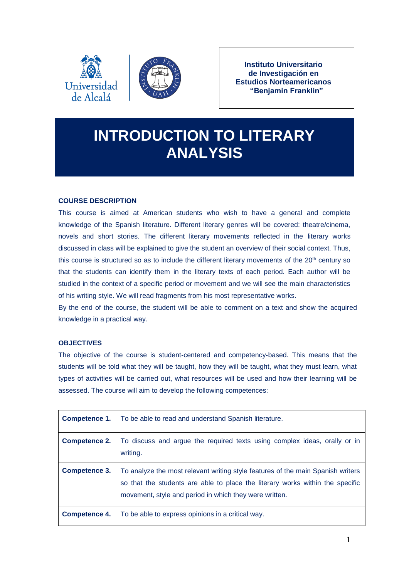



**Instituto Universitario de Investigación en Estudios Norteamericanos "Benjamin Franklin"**

# **INTRODUCTION TO LITERARY ANALYSIS**

# **COURSE DESCRIPTION**

This course is aimed at American students who wish to have a general and complete knowledge of the Spanish literature. Different literary genres will be covered: theatre/cinema, novels and short stories. The different literary movements reflected in the literary works discussed in class will be explained to give the student an overview of their social context. Thus, this course is structured so as to include the different literary movements of the 20<sup>th</sup> century so that the students can identify them in the literary texts of each period. Each author will be studied in the context of a specific period or movement and we will see the main characteristics of his writing style. We will read fragments from his most representative works.

By the end of the course, the student will be able to comment on a text and show the acquired knowledge in a practical way.

# **OBJECTIVES**

The objective of the course is student-centered and competency-based. This means that the students will be told what they will be taught, how they will be taught, what they must learn, what types of activities will be carried out, what resources will be used and how their learning will be assessed. The course will aim to develop the following competences:

| Competence 1.        | To be able to read and understand Spanish literature.                                                                                                                                                                      |
|----------------------|----------------------------------------------------------------------------------------------------------------------------------------------------------------------------------------------------------------------------|
| <b>Competence 2.</b> | To discuss and argue the required texts using complex ideas, orally or in<br>writing.                                                                                                                                      |
| <b>Competence 3.</b> | To analyze the most relevant writing style features of the main Spanish writers<br>so that the students are able to place the literary works within the specific<br>movement, style and period in which they were written. |
| Competence 4.        | To be able to express opinions in a critical way.                                                                                                                                                                          |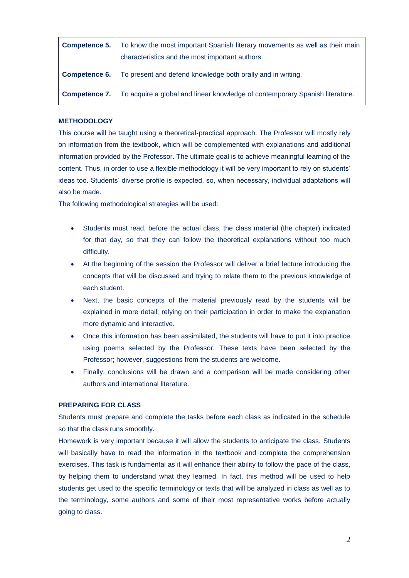| <b>Competence 5.</b> | To know the most important Spanish literary movements as well as their main<br>characteristics and the most important authors. |
|----------------------|--------------------------------------------------------------------------------------------------------------------------------|
| <b>Competence 6.</b> | To present and defend knowledge both orally and in writing.                                                                    |
| Competence 7.        | To acquire a global and linear knowledge of contemporary Spanish literature.                                                   |

#### **METHODOLOGY**

This course will be taught using a theoretical-practical approach. The Professor will mostly rely on information from the textbook, which will be complemented with explanations and additional information provided by the Professor. The ultimate goal is to achieve meaningful learning of the content. Thus, in order to use a flexible methodology it will be very important to rely on students' ideas too. Students' diverse profile is expected, so, when necessary, individual adaptations will also be made.

The following methodological strategies will be used:

- Students must read, before the actual class, the class material (the chapter) indicated for that day, so that they can follow the theoretical explanations without too much difficulty.
- At the beginning of the session the Professor will deliver a brief lecture introducing the concepts that will be discussed and trying to relate them to the previous knowledge of each student.
- Next, the basic concepts of the material previously read by the students will be explained in more detail, relying on their participation in order to make the explanation more dynamic and interactive.
- Once this information has been assimilated, the students will have to put it into practice using poems selected by the Professor. These texts have been selected by the Professor; however, suggestions from the students are welcome.
- Finally, conclusions will be drawn and a comparison will be made considering other authors and international literature.

#### **PREPARING FOR CLASS**

Students must prepare and complete the tasks before each class as indicated in the schedule so that the class runs smoothly.

Homework is very important because it will allow the students to anticipate the class. Students will basically have to read the information in the textbook and complete the comprehension exercises. This task is fundamental as it will enhance their ability to follow the pace of the class, by helping them to understand what they learned. In fact, this method will be used to help students get used to the specific terminology or texts that will be analyzed in class as well as to the terminology, some authors and some of their most representative works before actually going to class.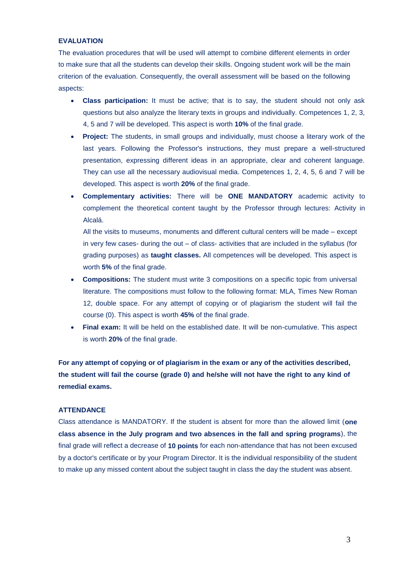# **EVALUATION**

The evaluation procedures that will be used will attempt to combine different elements in order to make sure that all the students can develop their skills. Ongoing student work will be the main criterion of the evaluation. Consequently, the overall assessment will be based on the following aspects:

- **Class participation:** It must be active; that is to say, the student should not only ask questions but also analyze the literary texts in groups and individually. Competences 1, 2, 3, 4, 5 and 7 will be developed. This aspect is worth **10%** of the final grade.
- **Project:** The students, in small groups and individually, must choose a literary work of the last years. Following the Professor's instructions, they must prepare a well-structured presentation, expressing different ideas in an appropriate, clear and coherent language. They can use all the necessary audiovisual media. Competences 1, 2, 4, 5, 6 and 7 will be developed. This aspect is worth **20%** of the final grade.
- **Complementary activities:** There will be **ONE MANDATORY** academic activity to complement the theoretical content taught by the Professor through lectures: Activity in Alcalá.

All the visits to museums, monuments and different cultural centers will be made – except in very few cases- during the out – of class- activities that are included in the syllabus (for grading purposes) as **taught classes.** All competences will be developed. This aspect is worth **5%** of the final grade.

- **Compositions:** The student must write 3 compositions on a specific topic from universal literature. The compositions must follow to the following format: MLA, Times New Roman 12, double space. For any attempt of copying or of plagiarism the student will fail the course (0). This aspect is worth **45%** of the final grade.
- **Final exam:** It will be held on the established date. It will be non-cumulative. This aspect is worth **20%** of the final grade.

**For any attempt of copying or of plagiarism in the exam or any of the activities described, the student will fail the course (grade 0) and he/she will not have the right to any kind of remedial exams.**

#### **ATTENDANCE**

Class attendance is MANDATORY. If the student is absent for more than the allowed limit (**one class absence in the July program and two absences in the fall and spring programs**), the final grade will reflect a decrease of **10 points** for each non-attendance that has not been excused by a doctor's certificate or by your Program Director. It is the individual responsibility of the student to make up any missed content about the subject taught in class the day the student was absent.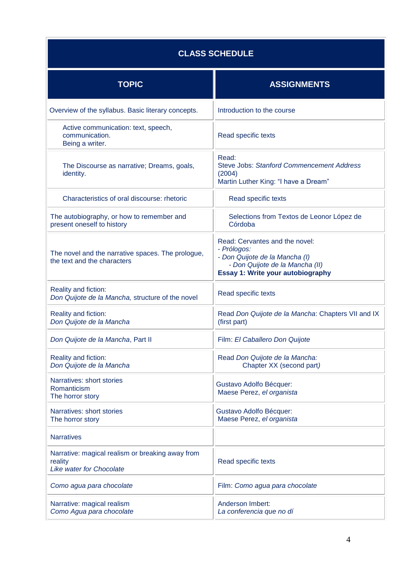# **CLASS SCHEDULE**

| <b>TOPIC</b>                                                                                   | <b>ASSIGNMENTS</b>                                                                                                                                      |  |  |
|------------------------------------------------------------------------------------------------|---------------------------------------------------------------------------------------------------------------------------------------------------------|--|--|
| Overview of the syllabus. Basic literary concepts.                                             | Introduction to the course                                                                                                                              |  |  |
| Active communication: text, speech,<br>communication.<br>Being a writer.                       | Read specific texts                                                                                                                                     |  |  |
| The Discourse as narrative; Dreams, goals,<br>identity.                                        | Read:<br><b>Steve Jobs: Stanford Commencement Address</b><br>(2004)<br>Martin Luther King: "I have a Dream"                                             |  |  |
| Characteristics of oral discourse: rhetoric                                                    | Read specific texts                                                                                                                                     |  |  |
| The autobiography, or how to remember and<br>present oneself to history                        | Selections from Textos de Leonor López de<br>Córdoba                                                                                                    |  |  |
| The novel and the narrative spaces. The prologue,<br>the text and the characters               | Read: Cervantes and the novel:<br>- Prólogos:<br>- Don Quijote de la Mancha (I)<br>- Don Quijote de la Mancha (II)<br>Essay 1: Write your autobiography |  |  |
| Reality and fiction:<br>Don Quijote de la Mancha, structure of the novel                       | Read specific texts                                                                                                                                     |  |  |
| Reality and fiction:<br>Don Quijote de la Mancha                                               | Read Don Quijote de la Mancha: Chapters VII and IX<br>(first part)                                                                                      |  |  |
| Don Quijote de la Mancha, Part II                                                              | Film: El Caballero Don Quijote                                                                                                                          |  |  |
| Reality and fiction:<br>Don Quijote de la Mancha                                               | Read Don Quijote de la Mancha:<br>Chapter XX (second part)                                                                                              |  |  |
| Narratives: short stories<br>Romanticism<br>The horror story                                   | Gustavo Adolfo Bécquer:<br>Maese Perez, el organista                                                                                                    |  |  |
| Narratives: short stories<br>The horror story                                                  | Gustavo Adolfo Bécquer:<br>Maese Perez, el organista                                                                                                    |  |  |
| <b>Narratives</b>                                                                              |                                                                                                                                                         |  |  |
| Narrative: magical realism or breaking away from<br>reality<br><b>Like water for Chocolate</b> | Read specific texts                                                                                                                                     |  |  |
| Como agua para chocolate                                                                       | Film: Como agua para chocolate                                                                                                                          |  |  |
| Narrative: magical realism<br>Como Agua para chocolate                                         | <b>Anderson Imbert:</b><br>La conferencia que no dí                                                                                                     |  |  |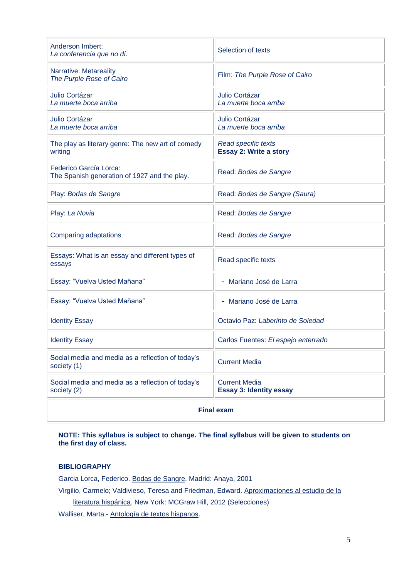| Anderson Imbert:<br>La conferencia que no dí.                          | Selection of texts                                     |  |  |
|------------------------------------------------------------------------|--------------------------------------------------------|--|--|
| Narrative: Metareality<br>The Purple Rose of Cairo                     | Film: The Purple Rose of Cairo                         |  |  |
| Julio Cortázar<br>La muerte boca arriba                                | Julio Cortázar<br>La muerte boca arriba                |  |  |
| Julio Cortázar<br>La muerte boca arriba                                | Julio Cortázar<br>La muerte boca arriba                |  |  |
| The play as literary genre: The new art of comedy<br>writing           | Read specific texts<br><b>Essay 2: Write a story</b>   |  |  |
| Federico García Lorca:<br>The Spanish generation of 1927 and the play. | Read: Bodas de Sangre                                  |  |  |
| Play: Bodas de Sangre                                                  | Read: Bodas de Sangre (Saura)                          |  |  |
| Play: La Novia                                                         | Read: Bodas de Sangre                                  |  |  |
| Comparing adaptations                                                  | Read: Bodas de Sangre                                  |  |  |
| Essays: What is an essay and different types of<br>essays              | Read specific texts                                    |  |  |
| Essay: "Vuelva Usted Mañana"                                           | Mariano José de Larra                                  |  |  |
| Essay: "Vuelva Usted Mañana"                                           | - Mariano José de Larra                                |  |  |
| <b>Identity Essay</b>                                                  | Octavio Paz: Laberinto de Soledad                      |  |  |
| <b>Identity Essay</b>                                                  | Carlos Fuentes: El espejo enterrado                    |  |  |
| Social media and media as a reflection of today's<br>society (1)       | <b>Current Media</b>                                   |  |  |
| Social media and media as a reflection of today's<br>society (2)       | <b>Current Media</b><br><b>Essay 3: Identity essay</b> |  |  |
| <b>Final exam</b>                                                      |                                                        |  |  |

# **NOTE: This syllabus is subject to change. The final syllabus will be given to students on the first day of class.**

# **BIBLIOGRAPHY**

Garcia Lorca, Federico. Bodas de Sangre. Madrid: Anaya, 2001

Virgilio, Carmelo; Valdivieso, Teresa and Friedman, Edward. Aproximaciones al estudio de la

literatura hispánica. New York: MCGraw Hill, 2012 (Selecciones)

Walliser, Marta.- Antología de textos hispanos.